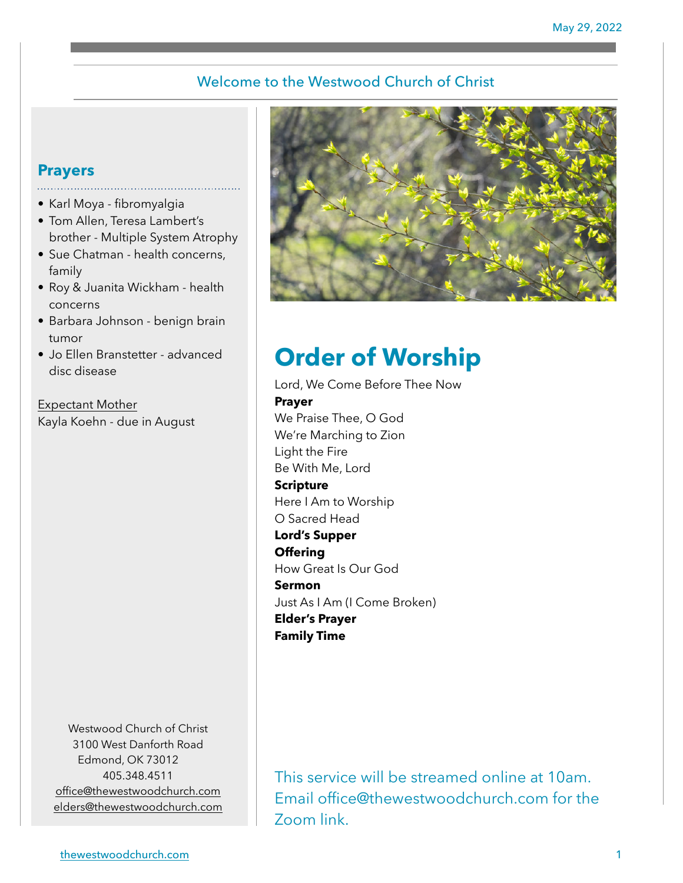### Welcome to the Westwood Church of Christ

# **Prayers**

- Karl Moya fibromyalgia
- Tom Allen, Teresa Lambert's brother - Multiple System Atrophy
- Sue Chatman health concerns, family
- Roy & Juanita Wickham health concerns
- Barbara Johnson benign brain tumor
- Jo Ellen Branstetter advanced disc disease

Expectant Mother Kayla Koehn - due in August

> Westwood Church of Christ 3100 West Danforth Road Edmond, OK 73012 405.348.4511 [office@thewestwoodchurch.com](mailto:office@thewestwoodchurch.com) [elders@thewestwoodchurch.com](mailto:elders@thewestwoodchurch.com)



# **Order of Worship**

Lord, We Come Before Thee Now **Prayer** We Praise Thee, O God We're Marching to Zion Light the Fire Be With Me, Lord **Scripture** Here I Am to Worship O Sacred Head **Lord's Supper Offering** How Great Is Our God **Sermon** Just As I Am (I Come Broken) **Elder's Prayer Family Time**

This service will be streamed online at 10am. Email office@thewestwoodchurch.com for the Zoom link.